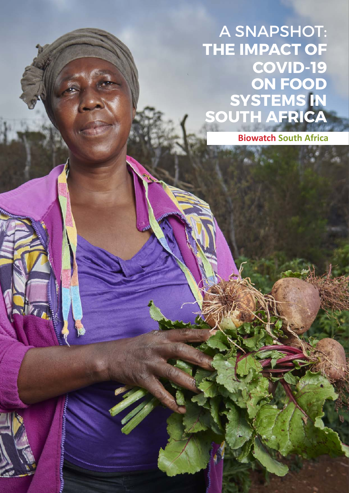A SNAPSHOT: **THE IMPACT OF COVID-19 ON FOOD SYSTEMS IN SOUTH AFRICA**

 **Biowatch South Africa**

23-335003332  $\mathbb{R}^n$  is interesting in  $\mathbb{R}^n$  on food systems in South Africa systems in South Africa systems in South Africa systems in South Africa systems in South Africa systems in South Africa systems in South Africa syste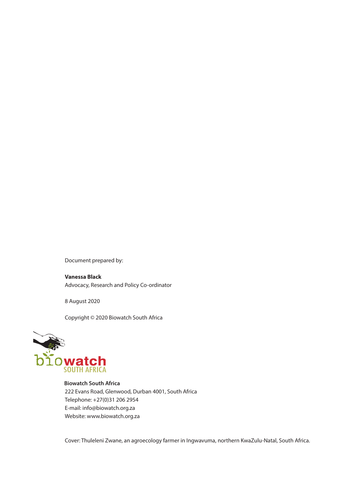Document prepared by:

**Vanessa Black** Advocacy, Research and Policy Co-ordinator

8 August 2020

Copyright © 2020 Biowatch South Africa



222 Evans Road, Glenwood, Durban 4001, South Africa Telephone: +27(0)31 206 2954 E-mail: info@biowatch.org.za Website: www.biowatch.org.za

Cover: Thuleleni Zwane, an agroecology farmer in Ingwavuma, northern KwaZulu-Natal, South Africa.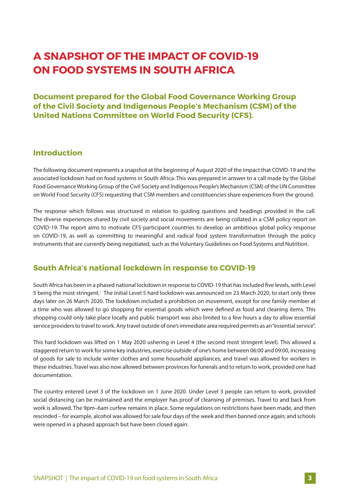# **A SNAPSHOT OF THE IMPACT OF COVID-19 ON FOOD SYSTEMS IN SOUTH AFRICA**

**Document prepared for the Global Food Governance Working Group of the Civil Society and Indigenous People's Mechanism (CSM) of the United Nations Committee on World Food Security (CFS).**

# **Introduction**

The following document represents a snapshot at the beginning of August 2020 of the impact that COVID-19 and the associated lockdown had on food systems in South Africa. This was prepared in answer to a call made by the Global Food Governance Working Group of the Civil Society and Indigenous People's Mechanism (CSM) of the UN Committee on World Food Security (CFS) requesting that CSM members and constituencies share experiences from the ground.

The response which follows was structured in relation to guiding questions and headings provided in the call. The diverse experiences shared by civil society and social movements are being collated in a CSM policy report on COVID-19. The report aims to motivate CFS participant countries to develop an ambitious global policy response on COVID-19, as well as committing to meaningful and radical food system transformation through the policy instruments that are currently being negotiated, such as the Voluntary Guidelines on Food Systems and Nutrition.

# **South Africa's national lockdown in response to COVID-19**

South Africa has been in a phased national lockdown in response to COVID-19 that has included five levels, with Level 5 being the most stringent.<sup>1</sup> The initial Level 5 hard lockdown was announced on 23 March 2020, to start only three days later on 26 March 2020. The lockdown included a prohibition on movement, except for one family member at a time who was allowed to go shopping for essential goods which were defined as food and cleaning items. This shopping could only take place locally and public transport was also limited to a few hours a day to allow essential service providers to travel to work. Any travel outside of one's immediate area required permits as an "essential service".

This hard lockdown was lifted on 1 May 2020 ushering in Level 4 (the second most stringent level). This allowed a staggered return to work for some key industries, exercise outside of one's home between 06:00 and 09:00, increasing of goods for sale to include winter clothes and some household appliances, and travel was allowed for workers in these industries. Travel was also now allowed between provinces for funerals and to return to work, provided one had documentation.

The country entered Level 3 of the lockdown on 1 June 2020. Under Level 3 people can return to work, provided social distancing can be maintained and the employer has proof of cleansing of premises. Travel to and back from work is allowed. The 9pm–6am curfew remains in place. Some regulations on restrictions have been made, and then rescinded – for example, alcohol was allowed for sale four days of the week and then banned once again; and schools were opened in a phased approach but have been closed again.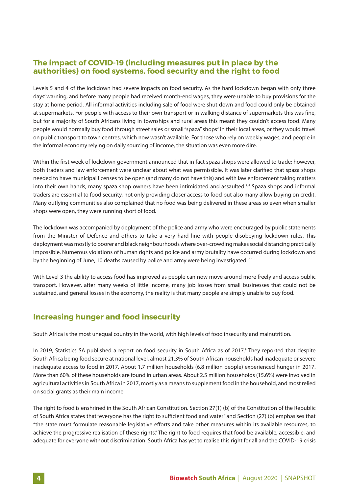# **The impact of COVID-19 (including measures put in place by the authorities) on food systems, food security and the right to food**

Levels 5 and 4 of the lockdown had severe impacts on food security. As the hard lockdown began with only three days' warning, and before many people had received month-end wages, they were unable to buy provisions for the stay at home period. All informal activities including sale of food were shut down and food could only be obtained at supermarkets. For people with access to their own transport or in walking distance of supermarkets this was fine, but for a majority of South Africans living in townships and rural areas this meant they couldn't access food. Many people would normally buy food through street sales or small "spaza" shops<sup>2</sup> in their local areas, or they would travel on public transport to town centres, which now wasn't available. For those who rely on weekly wages, and people in the informal economy relying on daily sourcing of income, the situation was even more dire.

Within the first week of lockdown government announced that in fact spaza shops were allowed to trade; however, both traders and law enforcement were unclear about what was permissible. It was later clarified that spaza shops needed to have municipal licenses to be open (and many do not have this) and with law enforcement taking matters into their own hands, many spaza shop owners have been intimidated and assaulted.<sup>3,4</sup> Spaza shops and informal traders are essential to food security, not only providing closer access to food but also many allow buying on credit. Many outlying communities also complained that no food was being delivered in these areas so even when smaller shops were open, they were running short of food.

The lockdown was accompanied by deployment of the police and army who were encouraged by public statements from the Minister of Defence and others to take a very hard line with people disobeying lockdown rules. This deployment was mostly to poorer and black neighbourhoods where over-crowding makes social distancing practically impossible. Numerous violations of human rights and police and army brutality have occurred during lockdown and by the beginning of June, 10 deaths caused by police and army were being investigated.<sup>7,8</sup>

With Level 3 the ability to access food has improved as people can now move around more freely and access public transport. However, after many weeks of little income, many job losses from small businesses that could not be sustained, and general losses in the economy, the reality is that many people are simply unable to buy food.

# **Increasing hunger and food insecurity**

South Africa is the most unequal country in the world, with high levels of food insecurity and malnutrition.

In 2019, Statistics SA published a report on food security in South Africa as of 2017.<sup>9</sup> They reported that despite South Africa being food secure at national level, almost 21.3% of South African households had inadequate or severe inadequate access to food in 2017. About 1.7 million households (6.8 million people) experienced hunger in 2017. More than 60% of these households are found in urban areas. About 2.5 million households (15.6%) were involved in agricultural activities in South Africa in 2017, mostly as a means to supplement food in the household, and most relied on social grants as their main income.

The right to food is enshrined in the South African Constitution. Section 27(1) (b) of the Constitution of the Republic of South Africa states that "everyone has the right to sufficient food and water" and Section (27) (b) emphasises that "the state must formulate reasonable legislative efforts and take other measures within its available resources, to achieve the progressive realisation of these rights." The right to food requires that food be available, accessible, and adequate for everyone without discrimination. South Africa has yet to realise this right for all and the COVID-19 crisis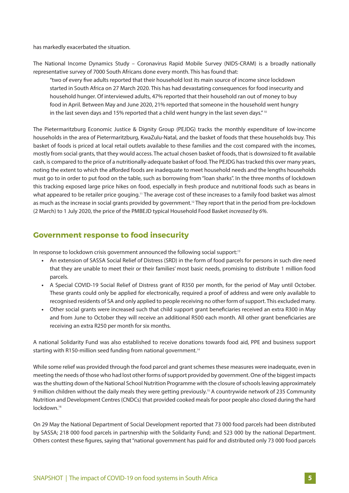has markedly exacerbated the situation.

The National Income Dynamics Study – Coronavirus Rapid Mobile Survey (NIDS-CRAM) is a broadly nationally representative survey of 7000 South Africans done every month. This has found that:

"two of every five adults reported that their household lost its main source of income since lockdown started in South Africa on 27 March 2020. This has had devastating consequences for food insecurity and household hunger. Of interviewed adults, 47% reported that their household ran out of money to buy food in April. Between May and June 2020, 21% reported that someone in the household went hungry in the last seven days and 15% reported that a child went hungry in the last seven days."<sup>10</sup>

The Pietermaritzburg Economic Justice & Dignity Group (PEJDG) tracks the monthly expenditure of low-income households in the area of Pietermaritzburg, KwaZulu-Natal, and the basket of foods that these households buy. This basket of foods is priced at local retail outlets available to these families and the cost compared with the incomes, mostly from social grants, that they would access. The actual chosen basket of foods, that is downsized to fit available cash, is compared to the price of a nutritionally-adequate basket of food. The PEJDG has tracked this over many years, noting the extent to which the afforded foods are inadequate to meet household needs and the lengths households must go to in order to put food on the table, such as borrowing from "loan sharks". In the three months of lockdown this tracking exposed large price hikes on food, especially in fresh produce and nutritional foods such as beans in what appeared to be retailer price gouging.<sup>11</sup> The average cost of these increases to a family food basket was almost as much as the increase in social grants provided by government.<sup>12</sup> They report that in the period from pre-lockdown (2 March) to 1 July 2020, the price of the PMBEJD typical Household Food Basket *increased by 6%.*

# **Government response to food insecurity**

In response to lockdown crisis government announced the following social support:<sup>13</sup>

- **•** An extension of SASSA Social Relief of Distress (SRD) in the form of food parcels for persons in such dire need that they are unable to meet their or their families' most basic needs, promising to distribute 1 million food parcels.
- **•** A Special COVID-19 Social Relief of Distress grant of R350 per month, for the period of May until October. These grants could only be applied for electronically, required a proof of address and were only available to recognised residents of SA and only applied to people receiving no other form of support. This excluded many.
- Other social grants were increased such that child support grant beneficiaries received an extra R300 in May and from June to October they will receive an additional R500 each month. All other grant beneficiaries are receiving an extra R250 per month for six months.

A national Solidarity Fund was also established to receive donations towards food aid, PPE and business support starting with R150-million seed funding from national government.<sup>14</sup>

While some relief was provided through the food parcel and grant schemes these measures were inadequate, even in meeting the needs of those who had lost other forms of support provided by government. One of the biggest impacts was the shutting down of the National School Nutrition Programme with the closure of schools leaving approximately 9 million children without the daily meals they were getting previously.15 A countrywide network of 235 Community Nutrition and Development Centres (CNDCs) that provided cooked meals for poor people also closed during the hard lockdown.16

On 29 May the National Department of Social Development reported that 73 000 food parcels had been distributed by SASSA; 218 000 food parcels in partnership with the Solidarity Fund; and 523 000 by the national Department. Others contest these figures, saying that "national government has paid for and distributed only 73 000 food parcels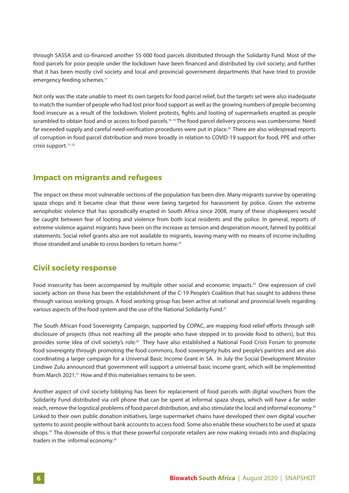through SASSA and co-financed another 55 000 food parcels distributed through the Solidarity Fund. Most of the food parcels for poor people under the lockdown have been financed and distributed by civil society; and further that it has been mostly civil society and local and provincial government departments that have tried to provide emergency feeding schemes.<sup>17</sup>

Not only was the state unable to meet its own targets for food parcel relief, but the targets set were also inadequate to match the number of people who had lost prior food support as well as the growing numbers of people becoming food insecure as a result of the lockdown. Violent protests, fights and looting of supermarkets erupted as people scrambled to obtain food and or access to food parcels.<sup>18, 19</sup> The food parcel delivery process was cumbersome. Need far exceeded supply and careful need-verification procedures were put in place.<sup>20</sup> There are also widespread reports of corruption in food parcel distribution and more broadly in relation to COVID-19 support for food, PPE and other crisis support. 21, 22

#### **Impact on migrants and refugees**

The impact on these most vulnerable sections of the population has been dire. Many migrants survive by operating spaza shops and it became clear that these were being targeted for harassment by police. Given the extreme xenophobic violence that has sporadically erupted in South Africa since 2008, many of these shopkeepers would be caught between fear of looting and violence from both local residents and the police. In general, reports of extreme violence against migrants have been on the increase as tension and desperation mount, fanned by political statements. Social relief grants also are not available to migrants, leaving many with no means of income including those stranded and unable to cross borders to return home.<sup>23</sup>

### **Civil society response**

Food insecurity has been accompanied by multiple other social and economic impacts.24 One expression of civil society action on these has been the establishment of the C-19 People's Coalition that has sought to address these through various working groups. A food working group has been active at national and provincial levels regarding various aspects of the food system and the use of the National Solidarity Fund.<sup>25</sup>

The South African Food Sovereignty Campaign, supported by COPAC, are mapping food relief efforts through selfdisclosure of projects (thus not reaching all the people who have stepped in to provide food to others), but this provides some idea of civil society's role.<sup>26</sup> They have also established a National Food Crisis Forum to promote food sovereignty through promoting the food commons, food sovereignty hubs and people's pantries and are also coordinating a larger campaign for a Universal Basic Income Grant in SA. In July the Social Development Minister Lindiwe Zulu announced that government will support a universal basic income grant, which will be implemented from March 2021.<sup>27</sup> How and if this materialises remains to be seen.

Another aspect of civil society lobbying has been for replacement of food parcels with digital vouchers from the Solidarity Fund distributed via cell phone that can be spent at informal spaza shops, which will have a far wider reach, remove the logistical problems of food parcel distribution, and also stimulate the local and informal economy.<sup>28</sup> Linked to their own public donation initiatives, large supermarket chains have developed their own digital voucher systems to assist people without bank accounts to access food. Some also enable these vouchers to be used at spaza shops.29 The downside of this is that these powerful corporate retailers are now making inroads into and displacing traders in the informal economy.30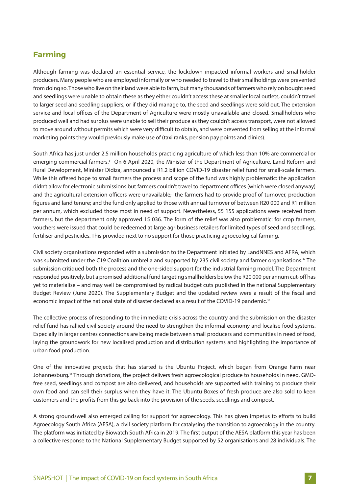### **Farming**

Although farming was declared an essential service, the lockdown impacted informal workers and smallholder producers. Many people who are employed informally or who needed to travel to their smallholdings were prevented from doing so. Those who live on their land were able to farm, but many thousands of farmers who rely on bought seed and seedlings were unable to obtain these as they either couldn't access these at smaller local outlets, couldn't travel to larger seed and seedling suppliers, or if they did manage to, the seed and seedlings were sold out. The extension service and local offices of the Department of Agriculture were mostly unavailable and closed. Smallholders who produced well and had surplus were unable to sell their produce as they couldn't access transport, were not allowed to move around without permits which were very difficult to obtain, and were prevented from selling at the informal marketing points they would previously make use of (taxi ranks, pension pay points and clinics).

South Africa has just under 2.5 million households practicing agriculture of which less than 10% are commercial or emerging commercial farmers.<sup>31</sup> On 6 April 2020, the Minister of the Department of Agriculture, Land Reform and Rural Development, Minister Didiza, announced a R1.2 billion COVID-19 disaster relief fund for small-scale farmers. While this offered hope to small farmers the process and scope of the fund was highly problematic: the application didn't allow for electronic submissions but farmers couldn't travel to department offices (which were closed anyway) and the agricultural extension officers were unavailable; the farmers had to provide proof of turnover, production figures and land tenure; and the fund only applied to those with annual turnover of between R20 000 and R1 million per annum, which excluded those most in need of support. Nevertheless, 55 155 applications were received from farmers, but the department only approved 15 036. The form of the relief was also problematic: for crop farmers, vouchers were issued that could be redeemed at large agribusiness retailers for limited types of seed and seedlings, fertiliser and pesticides. This provided next to no support for those practicing agroecological farming.

Civil society organisations responded with a submission to the Department initiated by LandNNES and AFRA, which was submitted under the C19 Coalition umbrella and supported by 235 civil society and farmer organisations.<sup>32</sup> The submission critiqued both the process and the one-sided support for the industrial farming model. The Department responded positively, but a promised additional fund targeting smallholders below the R20 000 per annum cut-off has yet to materialise – and may well be compromised by radical budget cuts published in the national Supplementary Budget Review (June 2020). The Supplementary Budget and the updated review were a result of the fiscal and economic impact of the national state of disaster declared as a result of the COVID-19 pandemic.<sup>33</sup>

The collective process of responding to the immediate crisis across the country and the submission on the disaster relief fund has rallied civil society around the need to strengthen the informal economy and localise food systems. Especially in larger centres connections are being made between small producers and communities in need of food, laying the groundwork for new localised production and distribution systems and highlighting the importance of urban food production.

One of the innovative projects that has started is the Ubuntu Project, which began from Orange Farm near Johannesburg.34 Through donations, the project delivers fresh agroecological produce to households in need. GMOfree seed, seedlings and compost are also delivered, and households are supported with training to produce their own food and can sell their surplus when they have it. The Ubuntu Boxes of fresh produce are also sold to keen customers and the profits from this go back into the provision of the seeds, seedlings and compost.

A strong groundswell also emerged calling for support for agroecology. This has given impetus to efforts to build Agroecology South Africa (AESA), a civil society platform for catalysing the transition to agroecology in the country. The platform was initiated by Biowatch South Africa in 2019. The first output of the AESA platform this year has been a collective response to the National Supplementary Budget supported by 52 organisations and 28 individuals. The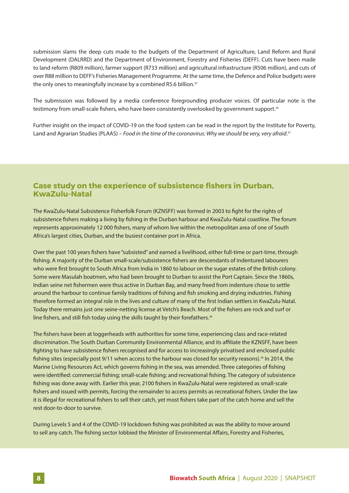submission slams the deep cuts made to the budgets of the Department of Agriculture, Land Reform and Rural Development (DALRRD) and the Department of Environment, Forestry and Fisheries (DEFF). Cuts have been made to land reform (R809 million), farmer support (R733 million) and agricultural infrastructure (R506 million), and cuts of over R88 million to DEFF's Fisheries Management Programme. At the same time, the Defence and Police budgets were the only ones to meaningfully increase by a combined R5.6 billion.<sup>35</sup>

The submission was followed by a media conference foregrounding producer voices. Of particular note is the testimony from small-scale fishers, who have been consistently overlooked by government support.<sup>36</sup>

Further insight on the impact of COVID-19 on the food system can be read in the report by the Institute for Poverty, Land and Agrarian Studies (PLAAS) – *Food in the time of the coronavirus: Why we should be very, very afraid*. 37

#### **Case study on the experience of subsistence fishers in Durban, KwaZulu-Natal**

The KwaZulu-Natal Subsistence Fisherfolk Forum (KZNSFF) was formed in 2003 to fight for the rights of subsistence fishers making a living by fishing in the Durban harbour and KwaZulu-Natal coastline. The forum represents approximately 12 000 fishers, many of whom live within the metropolitan area of one of South Africa's largest cities, Durban, and the busiest container port in Africa.

Over the past 100 years fishers have "subsisted" and earned a livelihood, either full-time or part-time, through fishing. A majority of the Durban small-scale/subsistence fishers are descendants of indentured labourers who were first brought to South Africa from India in 1860 to labour on the sugar estates of the British colony. Some were Masulah boatmen, who had been brought to Durban to assist the Port Captain. Since the 1860s, Indian seine net fishermen were thus active in Durban Bay, and many freed from indenture chose to settle around the harbour to continue family traditions of fishing and fish smoking and drying industries. Fishing therefore formed an integral role in the lives and culture of many of the first Indian settlers in KwaZulu-Natal. Today there remains just one seine-netting license at Vetch's Beach. Most of the fishers are rock and surf or line fishers, and still fish today using the skills taught by their forefathers.<sup>38</sup>

The fishers have been at loggerheads with authorities for some time, experiencing class and race-related discrimination. The South Durban Community Environmental Alliance, and its affiliate the KZNSFF, have been fighting to have subsistence fishers recognised and for access to increasingly privatised and enclosed public fishing sites (especially post 9/11 when access to the harbour was closed for security reasons).<sup>39</sup> In 2014, the Marine Living Resources Act, which governs fishing in the sea, was amended. Three categories of fishing were identified: commercial fishing; small-scale fishing; and recreational fishing. The category of subsistence fishing was done away with. Earlier this year, 2100 fishers in KwaZulu-Natal were registered as small-scale fishers and issued with permits, forcing the remainder to access permits as recreational fishers. Under the law it is illegal for recreational fishers to sell their catch, yet most fishers take part of the catch home and sell the rest door-to-door to survive.

During Levels 5 and 4 of the COVID-19 lockdown fishing was prohibited as was the ability to move around to sell any catch. The fishing sector lobbied the Minister of Environmental Affairs, Forestry and Fisheries,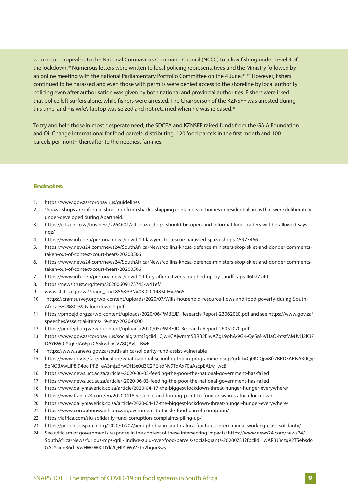who in turn appealed to the National Coronavirus Command Council (NCCC) to allow fishing under Level 3 of the lockdown.<sup>40</sup> Numerous letters were written to local policing representatives and the Ministry followed by an online meeting with the national Parliamentary Portfolio Committee on the 4 June.<sup>41,42</sup> However, fishers continued to be harassed and even those with permits were denied access to the shoreline by local authority policing even after authorisation was given by both national and provincial authorities. Fishers were irked that police left surfers alone, while fishers were arrested. The Chairperson of the KZNSFF was arrested during this time, and his wife's laptop was seized and not returned when he was released.<sup>43</sup>

To try and help those in most desperate need, the SDCEA and KZNSFF raised funds from the GAIA Foundation and Oil Change International for food parcels; distributing 120 food parcels in the first month and 100 parcels per month thereafter to the neediest families.

#### **Endnotes:**

- 1. https://www.gov.za/coronavirus/guidelines
- 2. "Spaza" shops are informal shops run from shacks, shipping containers or homes in residential areas that were deliberately under-developed during Apartheid.
- 3. https://citizen.co.za/business/2264601/all-spaza-shops-should-be-open-and-informal-food-traders-will-be-allowed-saysndz/
- 4. https://www.iol.co.za/pretoria-news/covid-19-lawyers-to-rescue-harassed-spaza-shops-45973466
- 5. https://www.news24.com/news24/SouthAfrica/News/collins-khosa-defence-ministers-skop-skiet-and-donder-commentstaken-out-of-context-court-hears-20200506
- 6. https://www.news24.com/news24/SouthAfrica/News/collins-khosa-defence-ministers-skop-skiet-and-donder-commentstaken-out-of-context-court-hears-20200506
- 7. https://www.iol.co.za/pretoria-news/covid-19-fury-after-citizens-roughed-up-by-sandf-saps-46077240
- 8. https://news.trust.org/item/20200609173743-w41ef/
- 9. www.statssa.gov.za/?page\_id=1856&PPN=03-00-14&SCH=7665
- 10. https://cramsurvey.org/wp-content/uploads/2020/07/Wills-household-resource-flows-and-food-poverty-during-South-Africa%E2%80%99s-lockdown-2.pdf
- 11. https://pmbejd.org.za/wp-content/uploads/2020/06/PMBEJD-Research-Report-23062020.pdf and see https://www.gov.za/ speeches/essential-items-19-may-2020-0000
- 12. https://pmbejd.org.za/wp-content/uploads/2020/05/PMBEJD-Research-Report-26052020.pdf
- 13. https://www.gov.za/coronavirus/socialgrants?gclid=CjwKCAjwmrn5BRB2EiwAZgL9ohA-9GK-QeSM6VHaQ-htstMMJyH2K37 DAYBWt0YtgOJA66pxC5SkwhoCV78QAvD\_BwE
- 14. https://www.sanews.gov.za/south-africa/solidarity-fund-assist-vulnerable
- 15. https://www.gov.za/faq/education/what-national-school-nutrition-programme-nsnp?gclid=Cj0KCQjw8fr7BRDSARIsAK0Qqr 5oNQ3AwLlP8i94oc-PRB\_eA3mjz6rwDHSe0d3C2PE-sdNv9TqAx70aAscpEALw\_wcB
- 16. https://www.news.uct.ac.za/article/-2020-06-03-feeding-the-poor-the-national-government-has-failed
- 17. https://www.news.uct.ac.za/article/-2020-06-03-feeding-the-poor-the-national-government-has-failed
- 18. https://www.dailymaverick.co.za/article/2020-04-17-the-biggest-lockdown-threat-hunger-hunger-everywhere/
- 19. https://www.france24.com/en/20200418-violence-and-looting-point-to-food-crisis-in-s-africa-lockdown
- 20. https://www.dailymaverick.co.za/article/2020-04-17-the-biggest-lockdown-threat-hunger-hunger-everywhere/
- 21. https://www.corruptionwatch.org.za/government-to-tackle-food-parcel-corruption/
- 22. https://iafrica.com/siu-solidarity-fund-corruption-complaints-piling-up/
- 23. https://peoplesdispatch.org/2020/07/07/xenophobia-in-south-africa-fractures-international-working-class-solidarity/
- 24. See criticism of governments response in the context of these intersecting impacts: https://www.news24.com/news24/ SouthAfrica/News/furious-mps-grill-lindiwe-zulu-over-food-parcels-social-grants-20200731?fbclid=IwAR3J3czq92TSebsdo GALYkxm36d\_VwHWkWXlDYkVQHlYjWuVeTn2hgrxKws